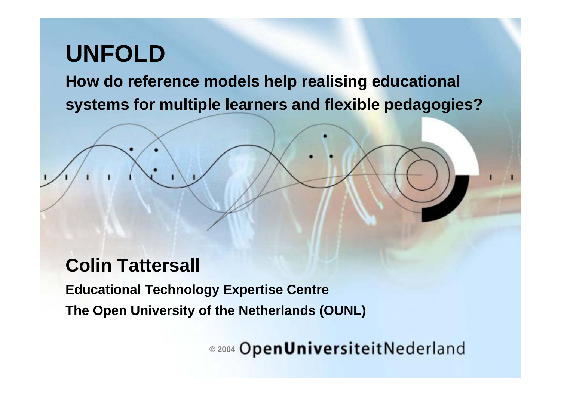# **UNFOLD**

**How do reference models help realising educational systems for multiple learners and flexible pedagogies?**

#### **Colin Tattersall**

#### **Educational Technology Expertise Centre**

**The Open University of the Netherlands (OUNL)**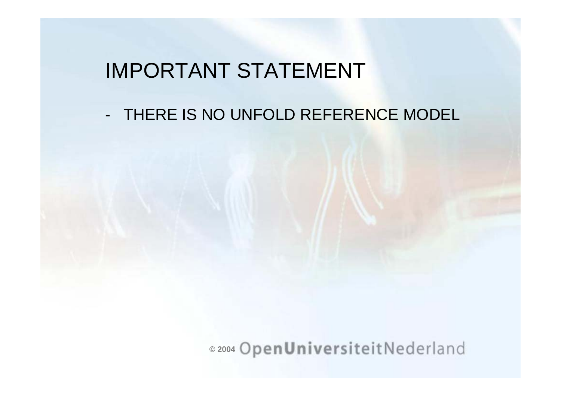#### IMPORTANT STATEMENT

- THERE IS NO UNFOLD REFERENCE MODEL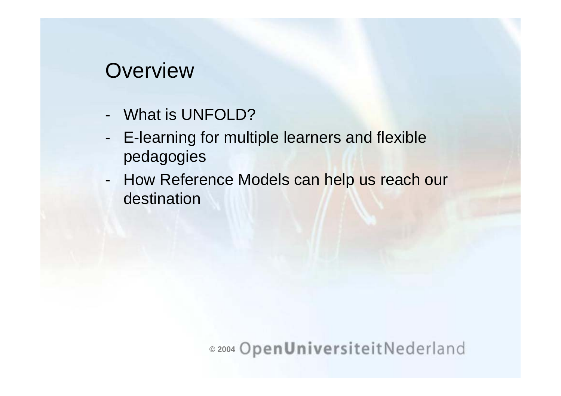#### **Overview**

- -What is UNFOLD?
- - E-learning for multiple learners and flexible pedagogies
- -- How Reference Models can help us reach our destination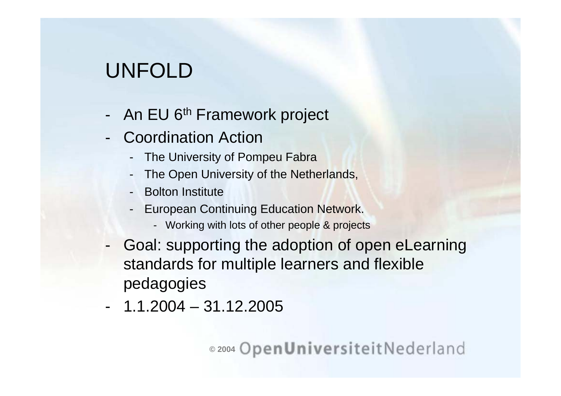## UNFOLD

- -An EU 6<sup>th</sup> Framework project
- - Coordination Action
	- The University of Pompeu Fabra
	- The Open University of the Netherlands,
	- Bolton Institute
	- European Continuing Education Network.
		- Working with lots of other people & projects
- - Goal: supporting the adoption of open eLearning standards for multiple learners and flexible pedagogies
- 1.1.2004 31.12.2005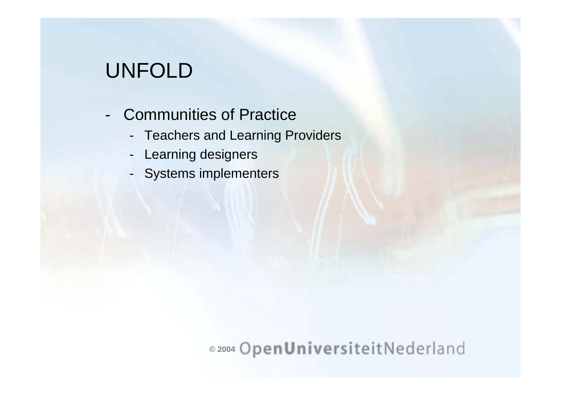## UNFOLD

- - Communities of Practice
	- Teachers and Learning Providers
	- -Learning designers
	- Systems implementers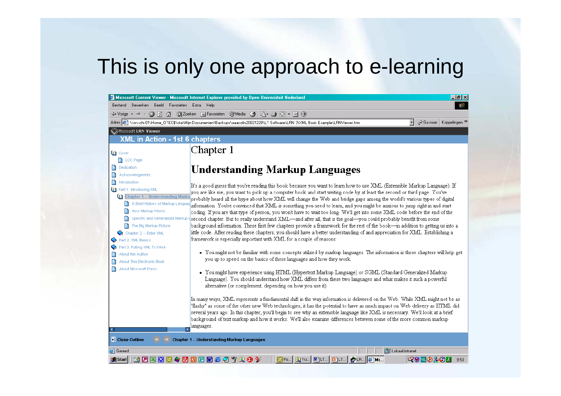### This is only one approach to e-learning

|                                                                                                                                                                                                                                                 | Microsoft Content Viewer - Microsoft Internet Explorer provided by Open Universiteit Nederland<br>$\Box$ e $\times$                                                                                                                                                                                                                                                                                                                                                                                                                                                                                                                                                                                                                                                                                                                                                                                                                                                                                                                    |
|-------------------------------------------------------------------------------------------------------------------------------------------------------------------------------------------------------------------------------------------------|----------------------------------------------------------------------------------------------------------------------------------------------------------------------------------------------------------------------------------------------------------------------------------------------------------------------------------------------------------------------------------------------------------------------------------------------------------------------------------------------------------------------------------------------------------------------------------------------------------------------------------------------------------------------------------------------------------------------------------------------------------------------------------------------------------------------------------------------------------------------------------------------------------------------------------------------------------------------------------------------------------------------------------------|
| Bestand<br>Bewerken Beeld Favorieten Extra                                                                                                                                                                                                      | Help<br>ш                                                                                                                                                                                                                                                                                                                                                                                                                                                                                                                                                                                                                                                                                                                                                                                                                                                                                                                                                                                                                              |
| ↓Vorige ▼ → ▼ ② ② △   ③Zoeken ⊠ Favorieten ④Media ③   B▼ 刍 ⊠ ▼ 目 ⊗                                                                                                                                                                              |                                                                                                                                                                                                                                                                                                                                                                                                                                                                                                                                                                                                                                                                                                                                                                                                                                                                                                                                                                                                                                        |
|                                                                                                                                                                                                                                                 | Adres @ \\\srv-chi-01\Home_0TEC\$\cta\Mijn Documenten\Backups\aaacolin20021220\LT Software\LRN 3\XML Book Example\LRNViewer.htm<br>ᆌ<br>$\partial$ Ganaar<br>Koppelingen <sup>22</sup>                                                                                                                                                                                                                                                                                                                                                                                                                                                                                                                                                                                                                                                                                                                                                                                                                                                 |
| Microsoft LRN Viewer                                                                                                                                                                                                                            |                                                                                                                                                                                                                                                                                                                                                                                                                                                                                                                                                                                                                                                                                                                                                                                                                                                                                                                                                                                                                                        |
| XML in Action - 1st 6 chapters                                                                                                                                                                                                                  |                                                                                                                                                                                                                                                                                                                                                                                                                                                                                                                                                                                                                                                                                                                                                                                                                                                                                                                                                                                                                                        |
| <b>Q</b> Cover                                                                                                                                                                                                                                  | Chapter 1                                                                                                                                                                                                                                                                                                                                                                                                                                                                                                                                                                                                                                                                                                                                                                                                                                                                                                                                                                                                                              |
| LOC Page                                                                                                                                                                                                                                        |                                                                                                                                                                                                                                                                                                                                                                                                                                                                                                                                                                                                                                                                                                                                                                                                                                                                                                                                                                                                                                        |
| Dedication<br>E<br>Acknowledgments                                                                                                                                                                                                              | <b>Understanding Markup Languages</b>                                                                                                                                                                                                                                                                                                                                                                                                                                                                                                                                                                                                                                                                                                                                                                                                                                                                                                                                                                                                  |
| 目<br>Introduction<br><b>Q3</b> Part 1: Introducing XML<br>Chapter 1 -- Understanding Mark<br>目 A Brief History of Markup Langua<br>How Markup Works<br>目<br>Specific and Generalized Markup<br>The Big Markup Picture<br>Chapter 2 -- Enter XML | It's a good guess that you're reading this book because you want to learn how to use XML (Extensible Markup Language). If<br>you are like me, you want to pick up a computer book and start writing code by at least the second or third page. You've<br>probably heard all the hype about how XML will change the Web and bridge gaps among the world's various types of digital<br>information. You're convinced that XML is something you need to learn, and you might be anxious to jump right in and start<br>coding. If you are that type of person, you won't have to wait too long. We'll get into some XML code before the end of the<br>second chapter. But to really understand XML—and after all, that is the goal—you could probably benefit from some<br>background information. These first few chapters provide a framework for the rest of the book—in addition to getting us into a<br>little code. After reading these chapters, you should have a better understanding of and appreciation for XML. Establishing a |
| Part 2: XML Basics<br>Part 3: Putting XML To Work<br>About the Author<br>E<br>E<br>About This Electronic Book                                                                                                                                   | framework is especially important with XML for a couple of reasons:<br>• You might not be familiar with some concepts utilized by markup languages. The information in these chapters will help get<br>you up to speed on the basics of these languages and how they work.                                                                                                                                                                                                                                                                                                                                                                                                                                                                                                                                                                                                                                                                                                                                                             |
| About Microsoft Press<br>E                                                                                                                                                                                                                      | • You might have experience using HTML (Hypertext Markup Language) or SGML (Standard Generalized Markup<br>Language). You should understand how XML differs from these two languages and what makes it such a powerful<br>alternative (or complement, depending on how you use it).                                                                                                                                                                                                                                                                                                                                                                                                                                                                                                                                                                                                                                                                                                                                                    |
|                                                                                                                                                                                                                                                 | In many ways, XML represents a fundamental shift in the way information is delivered on the Web. While XML might not be as<br>"flashy" as some of the other new Web technologies, it has the potential to have as much impact on Web delivery as HTML did<br>several years ago. In this chapter, you'll begin to see why an extensible language like XML is necessary. We'll look at a brief<br>background of text markup and how it works. We'll also examine differences between some of the more common markup<br>languages.                                                                                                                                                                                                                                                                                                                                                                                                                                                                                                        |
| $\overline{\phantom{a}}$ Close Outline<br><b>Chapter 1 -- Understanding Markup Languages</b>                                                                                                                                                    |                                                                                                                                                                                                                                                                                                                                                                                                                                                                                                                                                                                                                                                                                                                                                                                                                                                                                                                                                                                                                                        |
| d: Lokaal intranet<br><b>B</b> Gereed                                                                                                                                                                                                           |                                                                                                                                                                                                                                                                                                                                                                                                                                                                                                                                                                                                                                                                                                                                                                                                                                                                                                                                                                                                                                        |
|                                                                                                                                                                                                                                                 |                                                                                                                                                                                                                                                                                                                                                                                                                                                                                                                                                                                                                                                                                                                                                                                                                                                                                                                                                                                                                                        |
| <b>OPO</b> 3 W.S 图LT 图LT @LR @H<br>anstart    [1] 2] 2] 3] 3] 3] 4] 2] 四 回 回 回 @ 4 7 半 Q 3 %<br>咬び皿@ふの区<br>9:53                                                                                                                                 |                                                                                                                                                                                                                                                                                                                                                                                                                                                                                                                                                                                                                                                                                                                                                                                                                                                                                                                                                                                                                                        |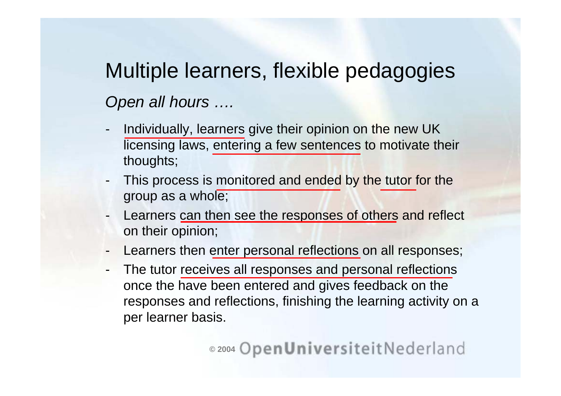# Multiple learners, flexible pedagogies *Open all hours ….*

- - Individually, learners give their opinion on the new UK licensing laws, entering a few sentences to motivate their thoughts;
- This process is monitored and ended by the tutor for the group as a whole;
- Learners can then see the responses of others and reflect on their opinion;
- -Learners then enter personal reflections on all responses;
- $-$  The tutor receives all responses and personal reflections once the have been entered and gives feedback on the responses and reflections, finishing the learning activity on a per learner basis.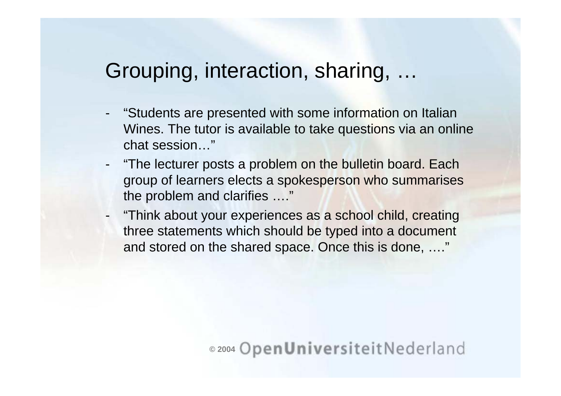#### Grouping, interaction, sharing, …

- -"Students are presented with some information on Italian Wines. The tutor is available to take questions via an online chat session…"
- $\blacksquare$ "The lecturer posts a problem on the bulletin board. Each group of learners elects a spokesperson who summarises the problem and clarifies …."
- "Think about your experiences as a school child, creating three statements which should be typed into a document and stored on the shared space. Once this is done, …."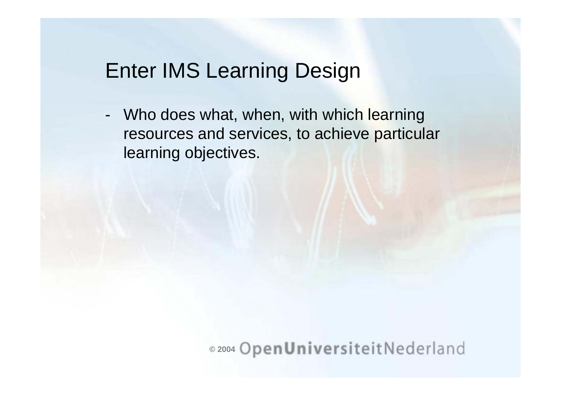#### Enter IMS Learning Design

-Who does what, when, with which learning resources and services, to achieve particular learning objectives.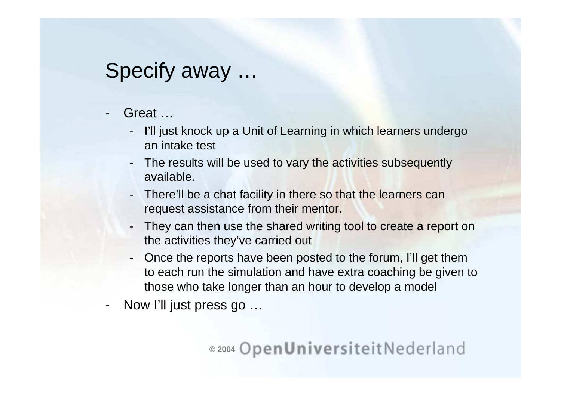#### Specify away …

- - Great …
	- I'll just knock up a Unit of Learning in which learners undergo an intake test
	- The results will be used to vary the activities subsequently available.
	- - There'll be a chat facility in there so that the learners can request assistance from their mentor.
	- They can then use the shared writing tool to create a report on the activities they've carried out
	- Once the reports have been posted to the forum, I'll get them to each run the simulation and have extra coaching be given to those who take longer than an hour to develop a model
- Now I'll just press go …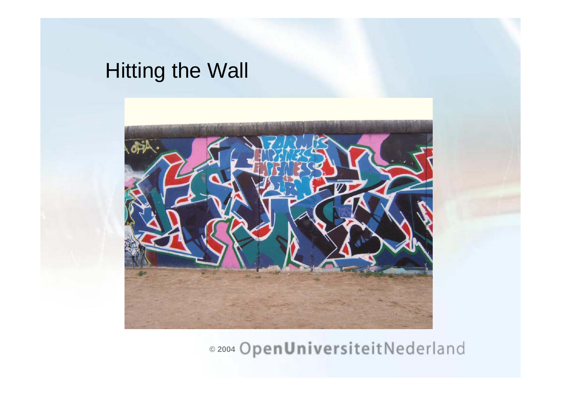## Hitting the Wall

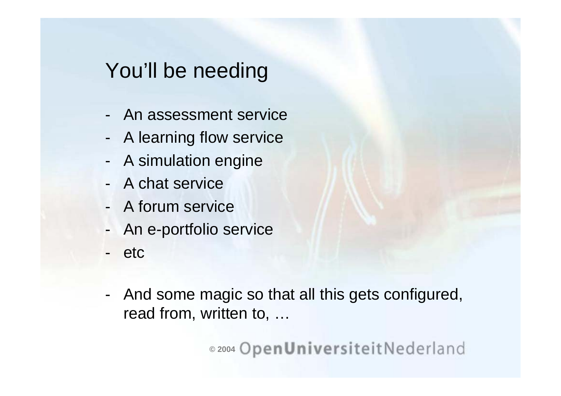## You'll be needing

- An assessment service
- -- A learning flow service
- -- A simulation engine
- A chat service
- A forum service
- -An e-portfolio service
- etc
- - And some magic so that all this gets configured, read from, written to, …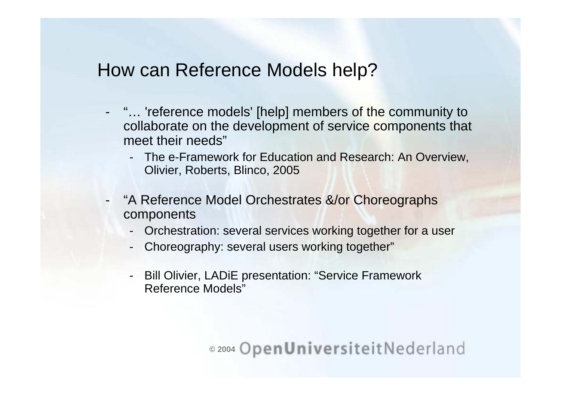#### How can Reference Models help?

- "… 'reference models' [help] members of the community to collaborate on the development of service components that meet their needs"
	- - The e-Framework for Education and Research: An Overview, Olivier, Roberts, Blinco, 2005
- -"A Reference Model Orchestrates &/or Choreographs components
	- Orchestration: several services working together for a user
	- Choreography: several users working together"
	- Bill Olivier, LADiE presentation: "Service Framework Reference Models"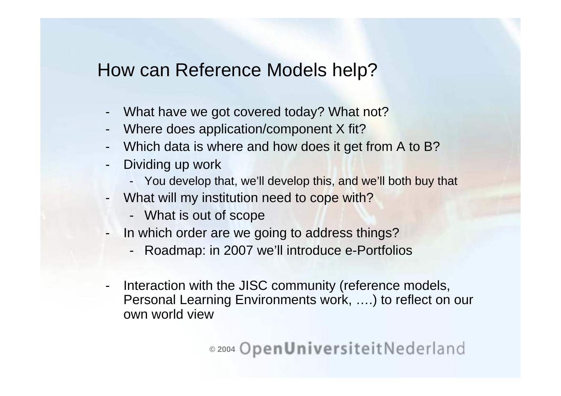#### How can Reference Models help?

- -What have we got covered today? What not?
- $\blacksquare$ Where does application/component X fit?
- Which data is where and how does it get from A to B?
- $\blacksquare$  Dividing up work
	- You develop that, we'll develop this, and we'll both buy that
- What will my institution need to cope with?
	- -What is out of scope
- - In which order are we going to address things?
	- Roadmap: in 2007 we'll introduce e-Portfolios
- Interaction with the JISC community (reference models, Personal Learning Environments work, ….) to reflect on our own world view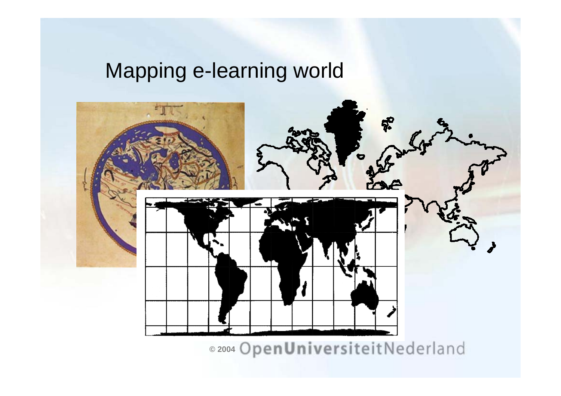## Mapping e-learning world

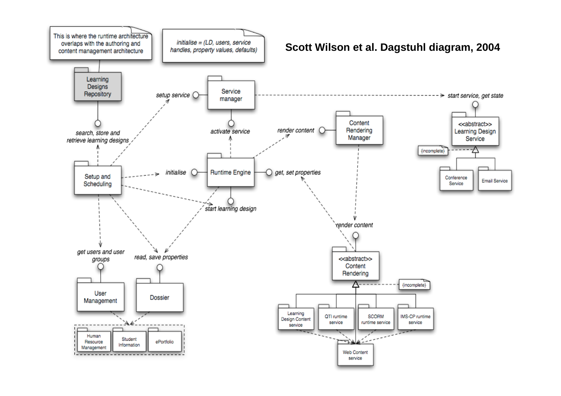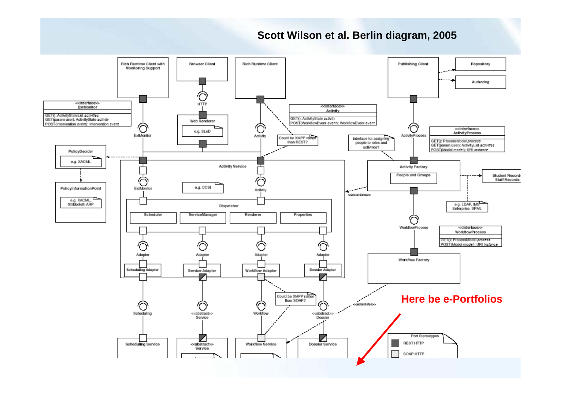#### **Scott Wilson et al. Berlin diagram, 2005**

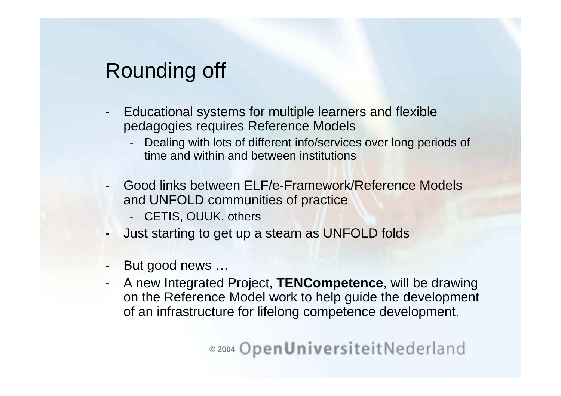#### Rounding off

- $\blacksquare$  Educational systems for multiple learners and flexible pedagogies requires Reference Models
	- Dealing with lots of different info/services over long periods of time and within and between institutions
- - Good links between ELF/e-Framework/Reference Models and UNFOLD communities of practice
	- CETIS, OUUK, others
- -Just starting to get up a steam as UNFOLD folds
- -But good news …
- - A new Integrated Project, **TENCompetence**, will be drawing on the Reference Model work to help guide the development of an infrastructure for lifelong competence development.